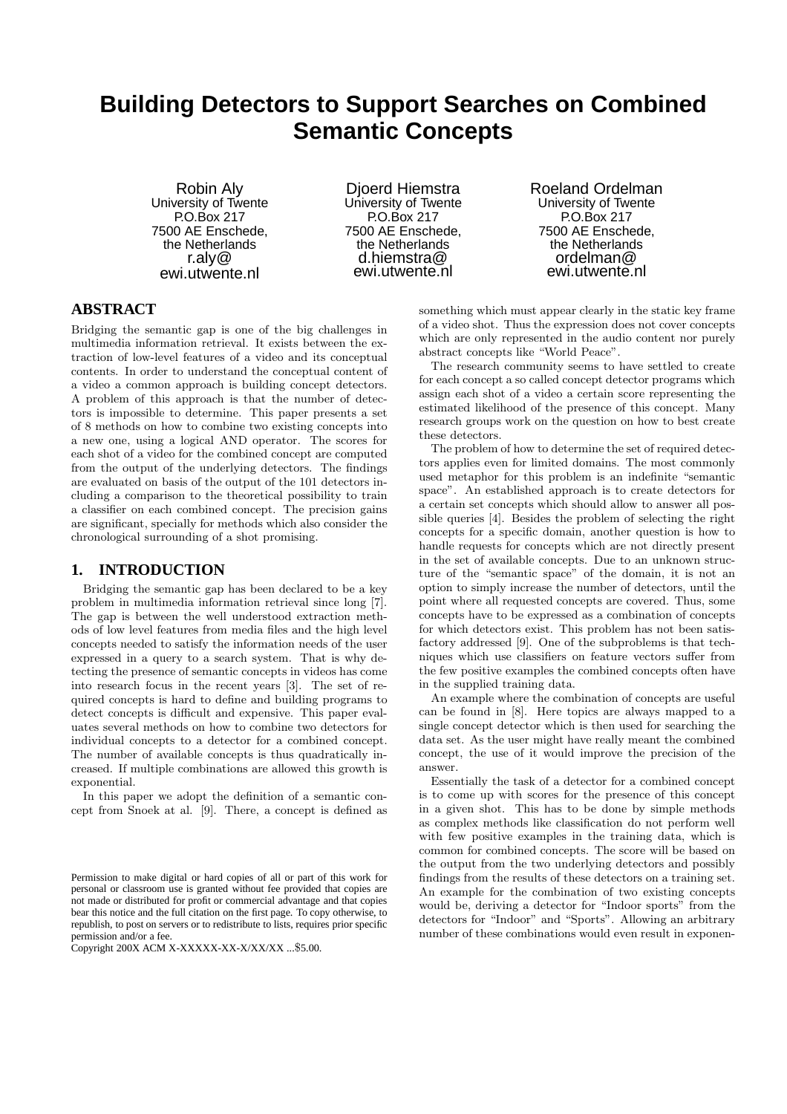# **Building Detectors to Support Searches on Combined Semantic Concepts**

Robin Aly University of Twente P.O.Box 217 7500 AE Enschede, the Netherlands r.aly@ ewi.utwente.nl

Djoerd Hiemstra University of Twente P.O.Box 217 7500 AE Enschede, the Netherlands d.hiemstra@ ewi.utwente.nl

Roeland Ordelman University of Twente P.O.Box 217 7500 AE Enschede, the Netherlands ordelman@ ewi.utwente.nl

## **ABSTRACT**

Bridging the semantic gap is one of the big challenges in multimedia information retrieval. It exists between the extraction of low-level features of a video and its conceptual contents. In order to understand the conceptual content of a video a common approach is building concept detectors. A problem of this approach is that the number of detectors is impossible to determine. This paper presents a set of 8 methods on how to combine two existing concepts into a new one, using a logical AND operator. The scores for each shot of a video for the combined concept are computed from the output of the underlying detectors. The findings are evaluated on basis of the output of the 101 detectors including a comparison to the theoretical possibility to train a classifier on each combined concept. The precision gains are significant, specially for methods which also consider the chronological surrounding of a shot promising.

## **1. INTRODUCTION**

Bridging the semantic gap has been declared to be a key problem in multimedia information retrieval since long [7]. The gap is between the well understood extraction methods of low level features from media files and the high level concepts needed to satisfy the information needs of the user expressed in a query to a search system. That is why detecting the presence of semantic concepts in videos has come into research focus in the recent years [3]. The set of required concepts is hard to define and building programs to detect concepts is difficult and expensive. This paper evaluates several methods on how to combine two detectors for individual concepts to a detector for a combined concept. The number of available concepts is thus quadratically increased. If multiple combinations are allowed this growth is exponential.

In this paper we adopt the definition of a semantic concept from Snoek at al. [9]. There, a concept is defined as

something which must appear clearly in the static key frame of a video shot. Thus the expression does not cover concepts which are only represented in the audio content nor purely abstract concepts like "World Peace".

The research community seems to have settled to create for each concept a so called concept detector programs which assign each shot of a video a certain score representing the estimated likelihood of the presence of this concept. Many research groups work on the question on how to best create these detectors.

The problem of how to determine the set of required detectors applies even for limited domains. The most commonly used metaphor for this problem is an indefinite "semantic space". An established approach is to create detectors for a certain set concepts which should allow to answer all possible queries [4]. Besides the problem of selecting the right concepts for a specific domain, another question is how to handle requests for concepts which are not directly present in the set of available concepts. Due to an unknown structure of the "semantic space" of the domain, it is not an option to simply increase the number of detectors, until the point where all requested concepts are covered. Thus, some concepts have to be expressed as a combination of concepts for which detectors exist. This problem has not been satisfactory addressed [9]. One of the subproblems is that techniques which use classifiers on feature vectors suffer from the few positive examples the combined concepts often have in the supplied training data.

An example where the combination of concepts are useful can be found in [8]. Here topics are always mapped to a single concept detector which is then used for searching the data set. As the user might have really meant the combined concept, the use of it would improve the precision of the answer.

Essentially the task of a detector for a combined concept is to come up with scores for the presence of this concept in a given shot. This has to be done by simple methods as complex methods like classification do not perform well with few positive examples in the training data, which is common for combined concepts. The score will be based on the output from the two underlying detectors and possibly findings from the results of these detectors on a training set. An example for the combination of two existing concepts would be, deriving a detector for "Indoor sports" from the detectors for "Indoor" and "Sports". Allowing an arbitrary number of these combinations would even result in exponen-

Permission to make digital or hard copies of all or part of this work for personal or classroom use is granted without fee provided that copies are not made or distributed for profit or commercial advantage and that copies bear this notice and the full citation on the first page. To copy otherwise, to republish, to post on servers or to redistribute to lists, requires prior specific permission and/or a fee.

Copyright 200X ACM X-XXXXX-XX-X/XX/XX ...\$5.00.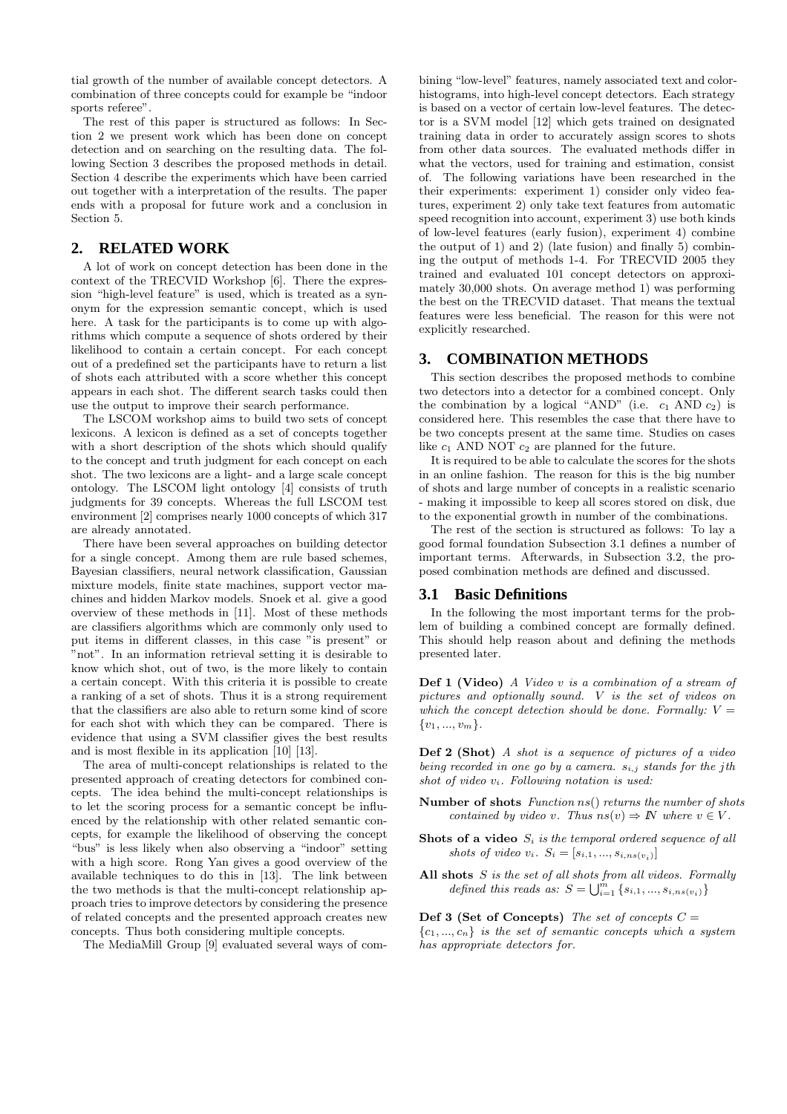tial growth of the number of available concept detectors. A combination of three concepts could for example be "indoor sports referee".

The rest of this paper is structured as follows: In Section 2 we present work which has been done on concept detection and on searching on the resulting data. The following Section 3 describes the proposed methods in detail. Section 4 describe the experiments which have been carried out together with a interpretation of the results. The paper ends with a proposal for future work and a conclusion in Section 5.

## **2. RELATED WORK**

A lot of work on concept detection has been done in the context of the TRECVID Workshop [6]. There the expression "high-level feature" is used, which is treated as a synonym for the expression semantic concept, which is used here. A task for the participants is to come up with algorithms which compute a sequence of shots ordered by their likelihood to contain a certain concept. For each concept out of a predefined set the participants have to return a list of shots each attributed with a score whether this concept appears in each shot. The different search tasks could then use the output to improve their search performance.

The LSCOM workshop aims to build two sets of concept lexicons. A lexicon is defined as a set of concepts together with a short description of the shots which should qualify to the concept and truth judgment for each concept on each shot. The two lexicons are a light- and a large scale concept ontology. The LSCOM light ontology [4] consists of truth judgments for 39 concepts. Whereas the full LSCOM test environment [2] comprises nearly 1000 concepts of which 317 are already annotated.

There have been several approaches on building detector for a single concept. Among them are rule based schemes, Bayesian classifiers, neural network classification, Gaussian mixture models, finite state machines, support vector machines and hidden Markov models. Snoek et al. give a good overview of these methods in [11]. Most of these methods are classifiers algorithms which are commonly only used to put items in different classes, in this case "is present" or "not". In an information retrieval setting it is desirable to know which shot, out of two, is the more likely to contain a certain concept. With this criteria it is possible to create a ranking of a set of shots. Thus it is a strong requirement that the classifiers are also able to return some kind of score for each shot with which they can be compared. There is evidence that using a SVM classifier gives the best results and is most flexible in its application [10] [13].

The area of multi-concept relationships is related to the presented approach of creating detectors for combined concepts. The idea behind the multi-concept relationships is to let the scoring process for a semantic concept be influenced by the relationship with other related semantic concepts, for example the likelihood of observing the concept "bus" is less likely when also observing a "indoor" setting with a high score. Rong Yan gives a good overview of the available techniques to do this in [13]. The link between the two methods is that the multi-concept relationship approach tries to improve detectors by considering the presence of related concepts and the presented approach creates new concepts. Thus both considering multiple concepts.

The MediaMill Group [9] evaluated several ways of com-

bining "low-level" features, namely associated text and colorhistograms, into high-level concept detectors. Each strategy is based on a vector of certain low-level features. The detector is a SVM model [12] which gets trained on designated training data in order to accurately assign scores to shots from other data sources. The evaluated methods differ in what the vectors, used for training and estimation, consist of. The following variations have been researched in the their experiments: experiment 1) consider only video features, experiment 2) only take text features from automatic speed recognition into account, experiment 3) use both kinds of low-level features (early fusion), experiment 4) combine the output of 1) and 2) (late fusion) and finally 5) combining the output of methods 1-4. For TRECVID 2005 they trained and evaluated 101 concept detectors on approximately 30,000 shots. On average method 1) was performing the best on the TRECVID dataset. That means the textual features were less beneficial. The reason for this were not explicitly researched.

## **3. COMBINATION METHODS**

This section describes the proposed methods to combine two detectors into a detector for a combined concept. Only the combination by a logical "AND" (i.e.  $c_1$  AND  $c_2$ ) is considered here. This resembles the case that there have to be two concepts present at the same time. Studies on cases like  $c_1$  AND NOT  $c_2$  are planned for the future.

It is required to be able to calculate the scores for the shots in an online fashion. The reason for this is the big number of shots and large number of concepts in a realistic scenario - making it impossible to keep all scores stored on disk, due to the exponential growth in number of the combinations.

The rest of the section is structured as follows: To lay a good formal foundation Subsection 3.1 defines a number of important terms. Afterwards, in Subsection 3.2, the proposed combination methods are defined and discussed.

## **3.1 Basic Definitions**

In the following the most important terms for the problem of building a combined concept are formally defined. This should help reason about and defining the methods presented later.

**Def 1 (Video)** A Video  $v$  is a combination of a stream of pictures and optionally sound. V is the set of videos on which the concept detection should be done. Formally:  $V =$  $\{v_1, ..., v_m\}.$ 

Def 2 (Shot) A shot is a sequence of pictures of a video being recorded in one go by a camera.  $s_{i,j}$  stands for the jth shot of video  $v_i$ . Following notation is used:

Number of shots Function ns() returns the number of shots contained by video v. Thus  $ns(v) \Rightarrow N$  where  $v \in V$ .

Shots of a video  $S_i$  is the temporal ordered sequence of all shots of video  $v_i$ .  $S_i = [s_{i,1}, ..., s_{i,ns(v_i)}]$ 

All shots  $S$  is the set of all shots from all videos. Formally defined this reads as:  $S = \bigcup_{i=1}^{m} \{s_{i,1}, ..., s_{i,ns(v_i)}\}$ 

**Def 3 (Set of Concepts)** The set of concepts  $C =$  $\{c_1, ..., c_n\}$  is the set of semantic concepts which a system has appropriate detectors for.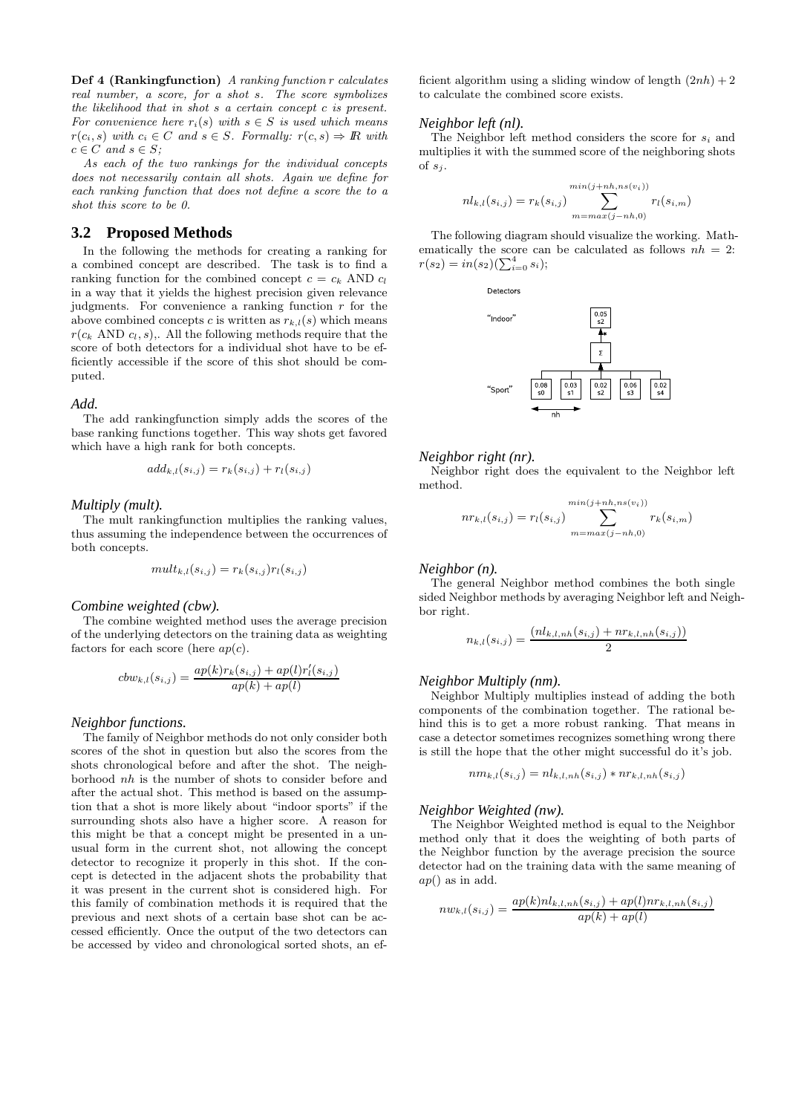Def 4 (Rankingfunction) A ranking function r calculates real number, a score, for a shot s. The score symbolizes the likelihood that in shot s a certain concept c is present. For convenience here  $r_i(s)$  with  $s \in S$  is used which means  $r(c_i, s)$  with  $c_i \in C$  and  $s \in S$ . Formally:  $r(c, s) \Rightarrow \mathbb{R}$  with  $c \in C$  and  $s \in S$ ;

As each of the two rankings for the individual concepts does not necessarily contain all shots. Again we define for each ranking function that does not define a score the to a shot this score to be 0.

#### **3.2 Proposed Methods**

In the following the methods for creating a ranking for a combined concept are described. The task is to find a ranking function for the combined concept  $c = c_k$  AND  $c_l$ in a way that it yields the highest precision given relevance judgments. For convenience a ranking function  $r$  for the above combined concepts c is written as  $r_{k,l}(s)$  which means  $r(c_k \text{ AND } c_l, s)$ . All the following methods require that the score of both detectors for a individual shot have to be efficiently accessible if the score of this shot should be computed.

#### *Add.*

The add rankingfunction simply adds the scores of the base ranking functions together. This way shots get favored which have a high rank for both concepts.

$$
add_{k,l}(s_{i,j}) = r_k(s_{i,j}) + r_l(s_{i,j})
$$

#### *Multiply (mult).*

The mult rankingfunction multiplies the ranking values, thus assuming the independence between the occurrences of both concepts.

$$
mult_{k,l}(s_{i,j}) = r_k(s_{i,j})r_l(s_{i,j})
$$

#### *Combine weighted (cbw).*

The combine weighted method uses the average precision of the underlying detectors on the training data as weighting factors for each score (here  $ap(c)$ .

$$
cbw_{k,l}(s_{i,j}) = \frac{ap(k)r_k(s_{i,j}) + ap(l)r'_l(s_{i,j})}{ap(k) + ap(l)}
$$

#### *Neighbor functions.*

The family of Neighbor methods do not only consider both scores of the shot in question but also the scores from the shots chronological before and after the shot. The neighborhood nh is the number of shots to consider before and after the actual shot. This method is based on the assumption that a shot is more likely about "indoor sports" if the surrounding shots also have a higher score. A reason for this might be that a concept might be presented in a unusual form in the current shot, not allowing the concept detector to recognize it properly in this shot. If the concept is detected in the adjacent shots the probability that it was present in the current shot is considered high. For this family of combination methods it is required that the previous and next shots of a certain base shot can be accessed efficiently. Once the output of the two detectors can be accessed by video and chronological sorted shots, an efficient algorithm using a sliding window of length  $(2nh) + 2$ to calculate the combined score exists.

#### *Neighbor left (nl).*

The Neighbor left method considers the score for  $s_i$  and multiplies it with the summed score of the neighboring shots of  $s_i$ .

$$
nl_{k,l}(s_{i,j}) = r_k(s_{i,j}) \sum_{m = max(j - nh, 0)}^{min(j + nh, ns(v_i))} r_l(s_{i,m})
$$

The following diagram should visualize the working. Mathematically the score can be calculated as follows  $nh = 2$ :  $r(s_2) = in(s_2)(\sum_{i=0}^4 s_i);$ 

Detectors



#### *Neighbor right (nr).*

Neighbor right does the equivalent to the Neighbor left method.

$$
nr_{k,l}(s_{i,j}) = r_l(s_{i,j}) \sum_{m = max(j - nh, 0)}^{min(j + nh, n s(v_i))} r_k(s_{i,m})
$$

#### *Neighbor (n).*

The general Neighbor method combines the both single sided Neighbor methods by averaging Neighbor left and Neighbor right.

$$
n_{k,l}(s_{i,j}) = \frac{(nl_{k,l,nh}(s_{i,j}) + nr_{k,l,nh}(s_{i,j}))}{2}
$$

#### *Neighbor Multiply (nm).*

Neighbor Multiply multiplies instead of adding the both components of the combination together. The rational behind this is to get a more robust ranking. That means in case a detector sometimes recognizes something wrong there is still the hope that the other might successful do it's job.

$$
nm_{k,l}(s_{i,j}) = nl_{k,l,nh}(s_{i,j}) * nr_{k,l,nh}(s_{i,j})
$$

#### *Neighbor Weighted (nw).*

The Neighbor Weighted method is equal to the Neighbor method only that it does the weighting of both parts of the Neighbor function by the average precision the source detector had on the training data with the same meaning of  $ap()$  as in add.

$$
nw_{k,l}(s_{i,j}) = \frac{ap(k)nl_{k,l,nh}(s_{i,j}) + ap(l)nr_{k,l,nh}(s_{i,j})}{ap(k) + ap(l)}
$$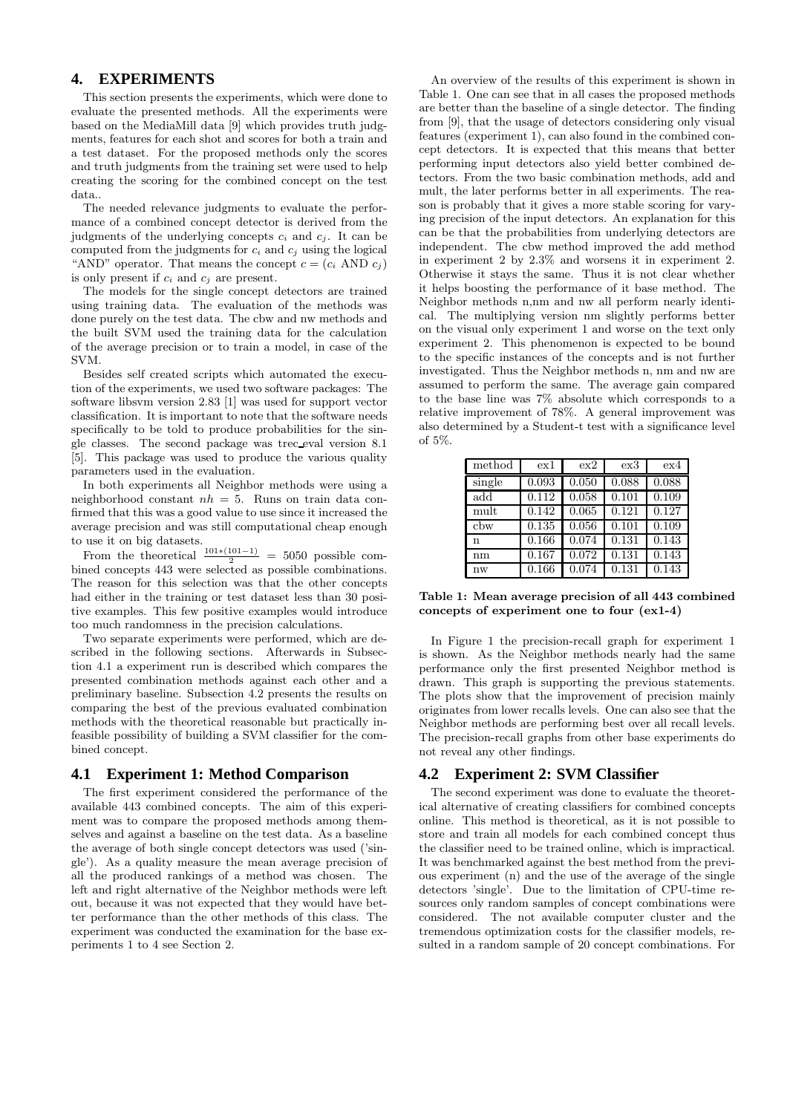## **4. EXPERIMENTS**

This section presents the experiments, which were done to evaluate the presented methods. All the experiments were based on the MediaMill data [9] which provides truth judgments, features for each shot and scores for both a train and a test dataset. For the proposed methods only the scores and truth judgments from the training set were used to help creating the scoring for the combined concept on the test data..

The needed relevance judgments to evaluate the performance of a combined concept detector is derived from the judgments of the underlying concepts  $c_i$  and  $c_j$ . It can be computed from the judgments for  $c_i$  and  $c_j$  using the logical "AND" operator. That means the concept  $c = (c_i \text{ AND } c_i)$ is only present if  $c_i$  and  $c_j$  are present.

The models for the single concept detectors are trained using training data. The evaluation of the methods was done purely on the test data. The cbw and nw methods and the built SVM used the training data for the calculation of the average precision or to train a model, in case of the SVM.

Besides self created scripts which automated the execution of the experiments, we used two software packages: The software libsvm version 2.83 [1] was used for support vector classification. It is important to note that the software needs specifically to be told to produce probabilities for the single classes. The second package was trec eval version 8.1 [5]. This package was used to produce the various quality parameters used in the evaluation.

In both experiments all Neighbor methods were using a neighborhood constant  $nh = 5$ . Runs on train data confirmed that this was a good value to use since it increased the average precision and was still computational cheap enough to use it on big datasets.

From the theoretical  $\frac{101*(101-1)}{2} = 5050$  possible combined concepts 443 were selected as possible combinations. The reason for this selection was that the other concepts had either in the training or test dataset less than 30 positive examples. This few positive examples would introduce too much randomness in the precision calculations.

Two separate experiments were performed, which are described in the following sections. Afterwards in Subsection 4.1 a experiment run is described which compares the presented combination methods against each other and a preliminary baseline. Subsection 4.2 presents the results on comparing the best of the previous evaluated combination methods with the theoretical reasonable but practically infeasible possibility of building a SVM classifier for the combined concept.

## **4.1 Experiment 1: Method Comparison**

The first experiment considered the performance of the available 443 combined concepts. The aim of this experiment was to compare the proposed methods among themselves and against a baseline on the test data. As a baseline the average of both single concept detectors was used ('single'). As a quality measure the mean average precision of all the produced rankings of a method was chosen. The left and right alternative of the Neighbor methods were left out, because it was not expected that they would have better performance than the other methods of this class. The experiment was conducted the examination for the base experiments 1 to 4 see Section 2.

An overview of the results of this experiment is shown in Table 1. One can see that in all cases the proposed methods are better than the baseline of a single detector. The finding from [9], that the usage of detectors considering only visual features (experiment 1), can also found in the combined concept detectors. It is expected that this means that better performing input detectors also yield better combined detectors. From the two basic combination methods, add and mult, the later performs better in all experiments. The reason is probably that it gives a more stable scoring for varying precision of the input detectors. An explanation for this can be that the probabilities from underlying detectors are independent. The cbw method improved the add method in experiment 2 by 2.3% and worsens it in experiment 2. Otherwise it stays the same. Thus it is not clear whether it helps boosting the performance of it base method. The Neighbor methods n,nm and nw all perform nearly identical. The multiplying version nm slightly performs better on the visual only experiment 1 and worse on the text only experiment 2. This phenomenon is expected to be bound to the specific instances of the concepts and is not further investigated. Thus the Neighbor methods n, nm and nw are assumed to perform the same. The average gain compared to the base line was 7% absolute which corresponds to a relative improvement of 78%. A general improvement was also determined by a Student-t test with a significance level of 5%.

| method | ex1   | ex2   | ex3   | ex4   |
|--------|-------|-------|-------|-------|
| single | 0.093 | 0.050 | 0.088 | 0.088 |
| add    | 0.112 | 0.058 | 0.101 | 0.109 |
| mult   | 0.142 | 0.065 | 0.121 | 0.127 |
| cbw    | 0.135 | 0.056 | 0.101 | 0.109 |
| n      | 0.166 | 0.074 | 0.131 | 0.143 |
| nm     | 0.167 | 0.072 | 0.131 | 0.143 |
| nw     | 0.166 | 0.074 | 0.131 | 0.143 |

Table 1: Mean average precision of all 443 combined concepts of experiment one to four (ex1-4)

In Figure 1 the precision-recall graph for experiment 1 is shown. As the Neighbor methods nearly had the same performance only the first presented Neighbor method is drawn. This graph is supporting the previous statements. The plots show that the improvement of precision mainly originates from lower recalls levels. One can also see that the Neighbor methods are performing best over all recall levels. The precision-recall graphs from other base experiments do not reveal any other findings.

## **4.2 Experiment 2: SVM Classifier**

The second experiment was done to evaluate the theoretical alternative of creating classifiers for combined concepts online. This method is theoretical, as it is not possible to store and train all models for each combined concept thus the classifier need to be trained online, which is impractical. It was benchmarked against the best method from the previous experiment (n) and the use of the average of the single detectors 'single'. Due to the limitation of CPU-time resources only random samples of concept combinations were considered. The not available computer cluster and the tremendous optimization costs for the classifier models, resulted in a random sample of 20 concept combinations. For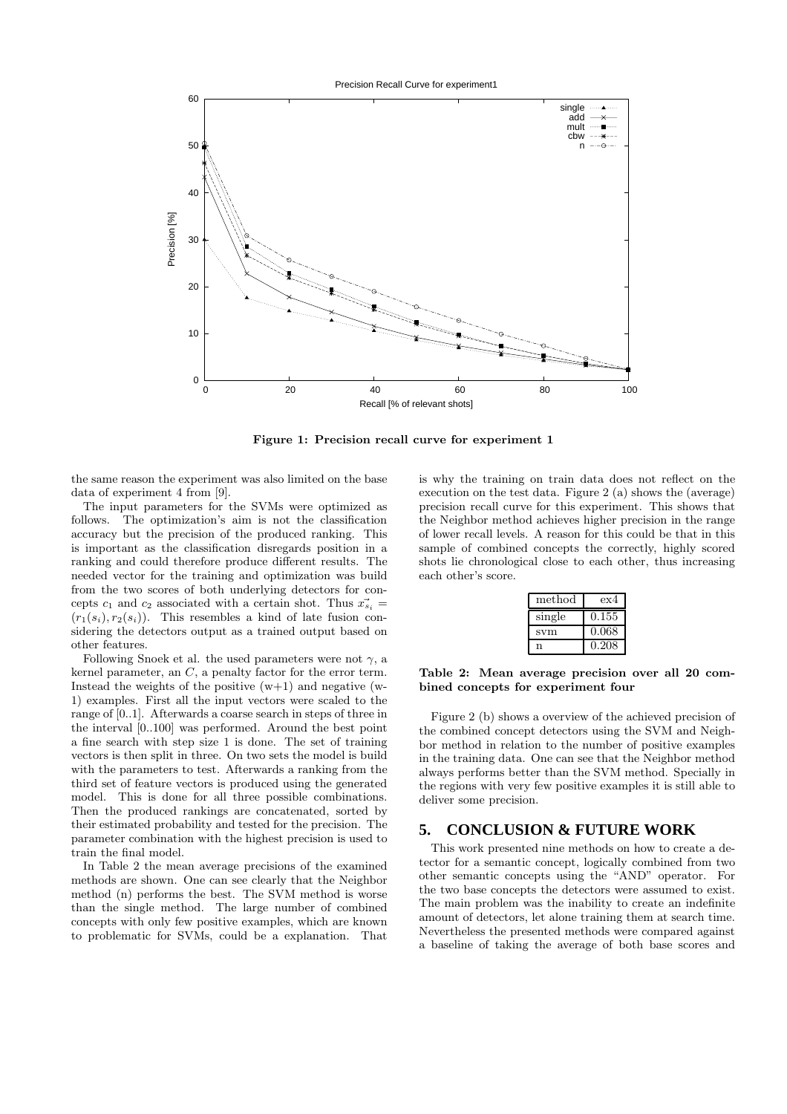Precision Recall Curve for experiment1



Figure 1: Precision recall curve for experiment 1

the same reason the experiment was also limited on the base data of experiment 4 from [9].

The input parameters for the SVMs were optimized as follows. The optimization's aim is not the classification accuracy but the precision of the produced ranking. This is important as the classification disregards position in a ranking and could therefore produce different results. The needed vector for the training and optimization was build from the two scores of both underlying detectors for concepts  $c_1$  and  $c_2$  associated with a certain shot. Thus  $x_{ss}^2$  =  $(r_1(s_i), r_2(s_i))$ . This resembles a kind of late fusion considering the detectors output as a trained output based on other features.

Following Snoek et al. the used parameters were not  $\gamma$ , a kernel parameter, an C, a penalty factor for the error term. Instead the weights of the positive  $(w+1)$  and negative  $(w-1)$ 1) examples. First all the input vectors were scaled to the range of [0..1]. Afterwards a coarse search in steps of three in the interval [0..100] was performed. Around the best point a fine search with step size 1 is done. The set of training vectors is then split in three. On two sets the model is build with the parameters to test. Afterwards a ranking from the third set of feature vectors is produced using the generated model. This is done for all three possible combinations. Then the produced rankings are concatenated, sorted by their estimated probability and tested for the precision. The parameter combination with the highest precision is used to train the final model.

In Table 2 the mean average precisions of the examined methods are shown. One can see clearly that the Neighbor method (n) performs the best. The SVM method is worse than the single method. The large number of combined concepts with only few positive examples, which are known to problematic for SVMs, could be a explanation. That is why the training on train data does not reflect on the execution on the test data. Figure 2 (a) shows the (average) precision recall curve for this experiment. This shows that the Neighbor method achieves higher precision in the range of lower recall levels. A reason for this could be that in this sample of combined concepts the correctly, highly scored shots lie chronological close to each other, thus increasing each other's score.

| method | ex4   |
|--------|-------|
| single | 0.155 |
| svm    | 0.068 |
|        | 0.208 |

Table 2: Mean average precision over all 20 combined concepts for experiment four

Figure 2 (b) shows a overview of the achieved precision of the combined concept detectors using the SVM and Neighbor method in relation to the number of positive examples in the training data. One can see that the Neighbor method always performs better than the SVM method. Specially in the regions with very few positive examples it is still able to deliver some precision.

## **5. CONCLUSION & FUTURE WORK**

This work presented nine methods on how to create a detector for a semantic concept, logically combined from two other semantic concepts using the "AND" operator. For the two base concepts the detectors were assumed to exist. The main problem was the inability to create an indefinite amount of detectors, let alone training them at search time. Nevertheless the presented methods were compared against a baseline of taking the average of both base scores and